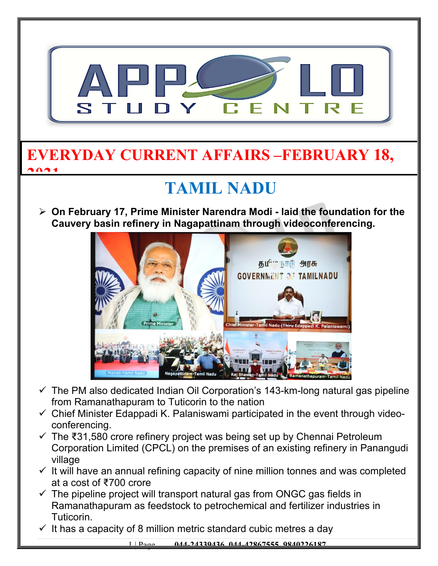

#### **EVERYDAY CURRENT AFFAIRS –FEBRUARY 18, 2021**

# **TAMIL NADU**

 **On February 17, Prime Minister Narendra Modi - laid the foundation for the Cauvery basin refinery in Nagapattinam through videoconferencing.**



- $\checkmark$  The PM also dedicated Indian Oil Corporation's 143-km-long natural gas pipeline from Ramanathapuram to Tuticorin to the nation
- $\checkmark$  Chief Minister Edappadi K. Palaniswami participated in the event through videoconferencing.
- The ₹31,580 crore refinery project was being set up by Chennai Petroleum Corporation Limited (CPCL) on the premises of an existing refinery in Panangudi village
- $\checkmark$  It will have an annual refining capacity of nine million tonnes and was completed at a cost of ₹700 crore
- $\checkmark$  The pipeline project will transport natural gas from ONGC gas fields in Ramanathapuram as feedstock to petrochemical and fertilizer industries in Tuticorin.
- $\checkmark$  It has a capacity of 8 million metric standard cubic metres a day

1 | Page **044-24339436, 044-42867555, 9840226187**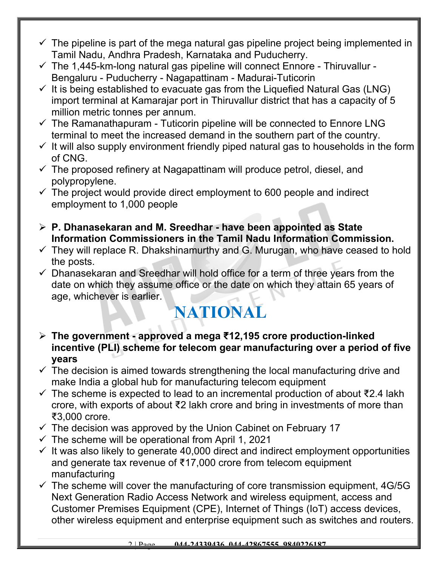- $\checkmark$  The pipeline is part of the mega natural gas pipeline project being implemented in Tamil Nadu, Andhra Pradesh, Karnataka and Puducherry.
- $\checkmark$  The 1,445-km-long natural gas pipeline will connect Ennore Thiruvallur -Bengaluru - Puducherry - Nagapattinam - Madurai-Tuticorin
- $\checkmark$  It is being established to evacuate gas from the Liquefied Natural Gas (LNG) import terminal at Kamarajar port in Thiruvallur district that has a capacity of 5 million metric tonnes per annum.
- $\checkmark$  The Ramanathapuram Tuticorin pipeline will be connected to Ennore LNG terminal to meet the increased demand in the southern part of the country.
- $\checkmark$  It will also supply environment friendly piped natural gas to households in the form of CNG.
- $\checkmark$  The proposed refinery at Nagapattinam will produce petrol, diesel, and polypropylene.
- $\checkmark$  The project would provide direct employment to 600 people and indirect employment to 1,000 people
- **P. Dhanasekaran and M. Sreedhar have been appointed as State Information Commissioners in the Tamil Nadu Information Commission.**
- $\checkmark$  They will replace R. Dhakshinamurthy and G. Murugan, who have ceased to hold the posts.
- $\checkmark$  Dhanasekaran and Sreedhar will hold office for a term of three years from the date on which they assume office or the date on which they attain 65 years of age, whichever is earlier.

## **NATIONAL**

- **The government approved a mega ₹12,195 crore production-linked incentive (PLI) scheme for telecom gear manufacturing over a period of five years**
- $\checkmark$  The decision is aimed towards strengthening the local manufacturing drive and make India a global hub for manufacturing telecom equipment
- The scheme is expected to lead to an incremental production of about ₹2.4 lakh crore, with exports of about ₹2 lakh crore and bring in investments of more than ₹3,000 crore.
- $\checkmark$  The decision was approved by the Union Cabinet on February 17
- $\checkmark$  The scheme will be operational from April 1, 2021
- $\checkmark$  It was also likely to generate 40,000 direct and indirect employment opportunities and generate tax revenue of ₹17,000 crore from telecom equipment manufacturing
- $\checkmark$  The scheme will cover the manufacturing of core transmission equipment, 4G/5G Next Generation Radio Access Network and wireless equipment, access and Customer Premises Equipment (CPE), Internet of Things (IoT) access devices, other wireless equipment and enterprise equipment such as switches and routers.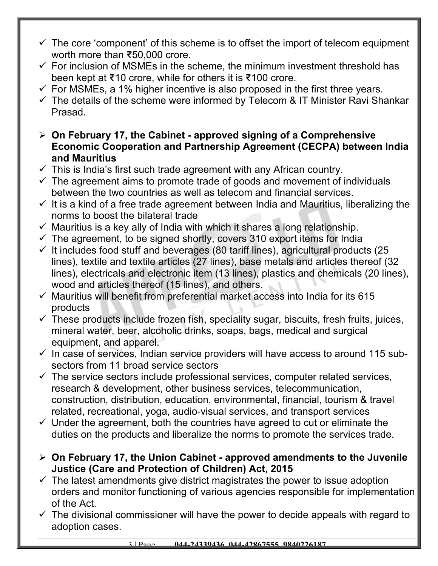- $\checkmark$  The core 'component' of this scheme is to offset the import of telecom equipment worth more than ₹50,000 crore.
- $\checkmark$  For inclusion of MSMEs in the scheme, the minimum investment threshold has been kept at ₹10 crore, while for others it is ₹100 crore.
- $\checkmark$  For MSMEs, a 1% higher incentive is also proposed in the first three years.
- $\checkmark$  The details of the scheme were informed by Telecom & IT Minister Ravi Shankar Prasad.
- **On February 17, the Cabinet approved signing of a Comprehensive Economic Cooperation and Partnership Agreement (CECPA) between India and Mauritius**
- $\checkmark$  This is India's first such trade agreement with any African country.
- $\checkmark$  The agreement aims to promote trade of goods and movement of individuals between the two countries as well as telecom and financial services.
- $\checkmark$  It is a kind of a free trade agreement between India and Mauritius, liberalizing the norms to boost the bilateral trade
- $\checkmark$  Mauritius is a key ally of India with which it shares a long relationship.
- $\checkmark$  The agreement, to be signed shortly, covers 310 export items for India
- $\checkmark$  It includes food stuff and beverages (80 tariff lines), agricultural products (25 lines), textile and textile articles (27 lines), base metals and articles thereof (32 lines), electricals and electronic item (13 lines), plastics and chemicals (20 lines), wood and articles thereof (15 lines), and others.
- $\checkmark$  Mauritius will benefit from preferential market access into India for its 615 products
- $\checkmark$  These products include frozen fish, speciality sugar, biscuits, fresh fruits, juices, mineral water, beer, alcoholic drinks, soaps, bags, medical and surgical equipment, and apparel.
- $\checkmark$  In case of services, Indian service providers will have access to around 115 subsectors from 11 broad service sectors
- $\checkmark$  The service sectors include professional services, computer related services, research & development, other business services, telecommunication, construction, distribution, education, environmental, financial, tourism & travel related, recreational, yoga, audio-visual services, and transport services
- $\checkmark$  Under the agreement, both the countries have agreed to cut or eliminate the duties on the products and liberalize the norms to promote the services trade.
- **On February 17, the Union Cabinet approved amendments to the Juvenile Justice (Care and Protection of Children) Act, 2015**
- $\checkmark$  The latest amendments give district magistrates the power to issue adoption orders and monitor functioning of various agencies responsible for implementation of the Act.
- $\checkmark$  The divisional commissioner will have the power to decide appeals with regard to adoption cases.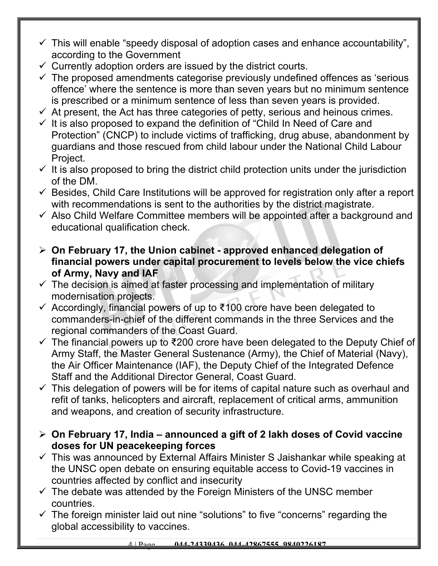- $\checkmark$  This will enable "speedy disposal of adoption cases and enhance accountability", according to the Government
- $\checkmark$  Currently adoption orders are issued by the district courts.
- $\checkmark$  The proposed amendments categorise previously undefined offences as 'serious offence' where the sentence is more than seven years but no minimum sentence is prescribed or a minimum sentence of less than seven years is provided.
- $\checkmark$  At present, the Act has three categories of petty, serious and heinous crimes.
- $\checkmark$  It is also proposed to expand the definition of "Child In Need of Care and Protection" (CNCP) to include victims of trafficking, drug abuse, abandonment by guardians and those rescued from child labour under the National Child Labour Project.
- $\checkmark$  It is also proposed to bring the district child protection units under the jurisdiction of the DM.
- $\checkmark$  Besides, Child Care Institutions will be approved for registration only after a report with recommendations is sent to the authorities by the district magistrate.
- $\checkmark$  Also Child Welfare Committee members will be appointed after a background and educational qualification check.
- **On February 17, the Union cabinet approved enhanced delegation of financial powers under capital procurement to levels below the vice chiefs of Army, Navy and IAF**
- $\checkmark$  The decision is aimed at faster processing and implementation of military modernisation projects.
- $\checkmark$  Accordingly, financial powers of up to ₹100 crore have been delegated to commanders-in-chief of the different commands in the three Services and the regional commanders of the Coast Guard.
- $\checkmark$  The financial powers up to ₹200 crore have been delegated to the Deputy Chief of Army Staff, the Master General Sustenance (Army), the Chief of Material (Navy), the Air Officer Maintenance (IAF), the Deputy Chief of the Integrated Defence Staff and the Additional Director General, Coast Guard.
- $\checkmark$  This delegation of powers will be for items of capital nature such as overhaul and refit of tanks, helicopters and aircraft, replacement of critical arms, ammunition and weapons, and creation of security infrastructure.
- **On February 17, India announced a gift of 2 lakh doses of Covid vaccine doses for UN peacekeeping forces**
- $\checkmark$  This was announced by External Affairs Minister S Jaishankar while speaking at the UNSC open debate on ensuring equitable access to Covid-19 vaccines in countries affected by conflict and insecurity
- $\checkmark$  The debate was attended by the Foreign Ministers of the UNSC member countries.
- $\checkmark$  The foreign minister laid out nine "solutions" to five "concerns" regarding the global accessibility to vaccines.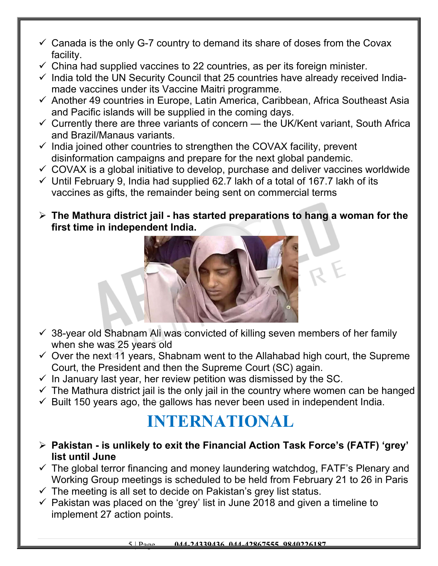- $\checkmark$  Canada is the only G-7 country to demand its share of doses from the Covax facility.
- $\checkmark$  China had supplied vaccines to 22 countries, as per its foreign minister.
- $\checkmark$  India told the UN Security Council that 25 countries have already received Indiamade vaccines under its Vaccine Maitri programme.
- $\checkmark$  Another 49 countries in Europe, Latin America, Caribbean, Africa Southeast Asia and Pacific islands will be supplied in the coming days.
- $\checkmark$  Currently there are three variants of concern the UK/Kent variant, South Africa and Brazil/Manaus variants.
- $\checkmark$  India joined other countries to strengthen the COVAX facility, prevent disinformation campaigns and prepare for the next global pandemic.
- $\checkmark$  COVAX is a global initiative to develop, purchase and deliver vaccines worldwide
- $\checkmark$  Until February 9, India had supplied 62.7 lakh of a total of 167.7 lakh of its vaccines as gifts, the remainder being sent on commercial terms
- **The Mathura district jail has started preparations to hang a woman for the first time in independent India.**



- $\checkmark$  38-year old Shabnam Ali was convicted of killing seven members of her family when she was 25 years old
- $\checkmark$  Over the next 11 years, Shabnam went to the Allahabad high court, the Supreme Court, the President and then the Supreme Court (SC) again.
- $\checkmark$  In January last year, her review petition was dismissed by the SC.
- $\checkmark$  The Mathura district jail is the only jail in the country where women can be hanged
- $\checkmark$  Built 150 years ago, the gallows has never been used in independent India.

## **INTERNATIONAL**

- **Pakistan is unlikely to exit the Financial Action Task Force's (FATF) 'grey' list until June**
- $\checkmark$  The global terror financing and money laundering watchdog, FATF's Plenary and Working Group meetings is scheduled to be held from February 21 to 26 in Paris
- $\checkmark$  The meeting is all set to decide on Pakistan's grey list status.
- $\checkmark$  Pakistan was placed on the 'grey' list in June 2018 and given a timeline to implement 27 action points.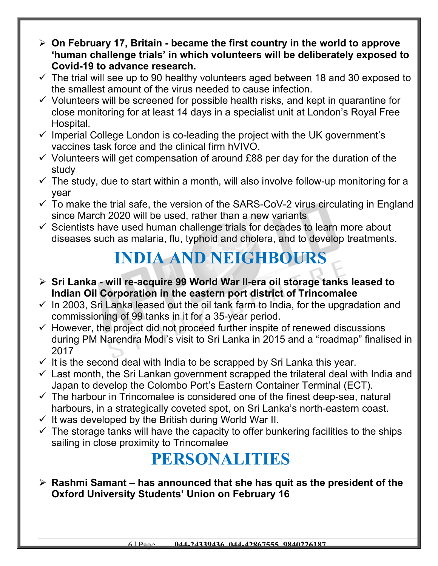- **On February 17, Britain became the first country in the world to approve 'human challenge trials' in which volunteers will be deliberately exposed to Covid-19 to advance research.**
- $\checkmark$  The trial will see up to 90 healthy volunteers aged between 18 and 30 exposed to the smallest amount of the virus needed to cause infection.
- $\checkmark$  Volunteers will be screened for possible health risks, and kept in quarantine for close monitoring for at least 14 days in a specialist unit at London's Royal Free Hospital.
- $\checkmark$  Imperial College London is co-leading the project with the UK government's vaccines task force and the clinical firm hVIVO.
- $\checkmark$  Volunteers will get compensation of around £88 per day for the duration of the study
- $\checkmark$  The study, due to start within a month, will also involve follow-up monitoring for a year
- $\checkmark$  To make the trial safe, the version of the SARS-CoV-2 virus circulating in England since March 2020 will be used, rather than a new variants
- $\checkmark$  Scientists have used human challenge trials for decades to learn more about diseases such as malaria, flu, typhoid and cholera, and to develop treatments.

### **INDIA AND NEIGHBOURS**

- **Sri Lanka will re-acquire 99 World War II-era oil storage tanks leased to Indian Oil Corporation in the eastern port district of Trincomalee**
- $\checkmark$  In 2003, Sri Lanka leased out the oil tank farm to India, for the upgradation and commissioning of 99 tanks in it for a 35-year period.
- $\checkmark$  However, the project did not proceed further inspite of renewed discussions during PM Narendra Modi's visit to Sri Lanka in 2015 and a "roadmap" finalised in 2017
- $\checkmark$  It is the second deal with India to be scrapped by Sri Lanka this year.
- $\checkmark$  Last month, the Sri Lankan government scrapped the trilateral deal with India and Japan to develop the Colombo Port's Eastern Container Terminal (ECT).
- $\checkmark$  The harbour in Trincomalee is considered one of the finest deep-sea, natural harbours, in a strategically coveted spot, on Sri Lanka's north-eastern coast.
- $\checkmark$  It was developed by the British during World War II.
- $\checkmark$  The storage tanks will have the capacity to offer bunkering facilities to the ships sailing in close proximity to Trincomalee

# **PERSONALITIES**

 **Rashmi Samant – has announced that she has quit as the president of the Oxford University Students' Union on February 16**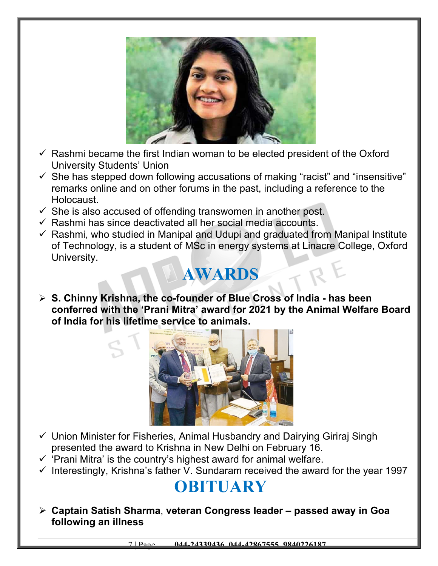

- $\checkmark$  Rashmi became the first Indian woman to be elected president of the Oxford University Students' Union
- $\checkmark$  She has stepped down following accusations of making "racist" and "insensitive" remarks online and on other forums in the past, including a reference to the Holocaust.
- $\checkmark$  She is also accused of offending transwomen in another post.
- $\checkmark$  Rashmi has since deactivated all her social media accounts.
- $\checkmark$  Rashmi, who studied in Manipal and Udupi and graduated from Manipal Institute of Technology, is a student of MSc in energy systems at Linacre College, Oxford University.

#### **AWARDS**

 **S. Chinny Krishna, the co-founder of Blue Cross of India - has been conferred with the 'Prani Mitra' award for 2021 by the Animal Welfare Board of India for his lifetime service to animals.** 



- $\checkmark$  Union Minister for Fisheries, Animal Husbandry and Dairving Giriraj Singh presented the award to Krishna in New Delhi on February 16.
- $\checkmark$  'Prani Mitra' is the country's highest award for animal welfare.
- $\checkmark$  Interestingly, Krishna's father V. Sundaram received the award for the year 1997

### **OBITUARY**

 **Captain Satish Sharma**, **veteran Congress leader – passed away in Goa following an illness**

7 | Page **044-24339436, 044-42867555, 9840226187**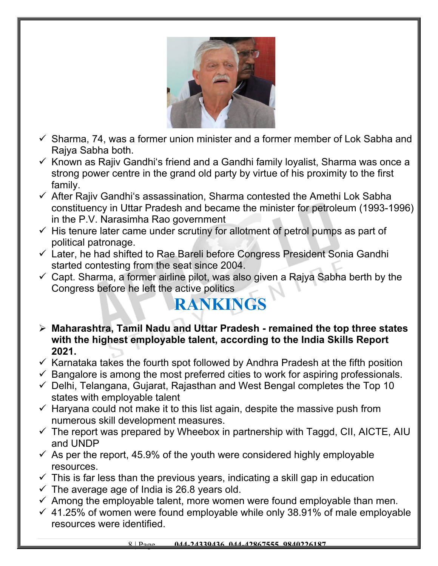

- $\checkmark$  Sharma, 74, was a former union minister and a former member of Lok Sabha and Rajya Sabha both.
- $\checkmark$  Known as Rajiv Gandhi's friend and a Gandhi family loyalist, Sharma was once a strong power centre in the grand old party by virtue of his proximity to the first family.
- $\checkmark$  After Rajiv Gandhi's assassination, Sharma contested the Amethi Lok Sabha constituency in Uttar Pradesh and became the minister for petroleum (1993-1996) in the P.V. Narasimha Rao government
- $\checkmark$  His tenure later came under scrutiny for allotment of petrol pumps as part of political patronage.
- $\checkmark$  Later, he had shifted to Rae Bareli before Congress President Sonia Gandhi started contesting from the seat since 2004.
- $\checkmark$  Capt. Sharma, a former airline pilot, was also given a Rajya Sabha berth by the Congress before he left the active politics

## **RANKINGS**

- **Maharashtra, Tamil Nadu and Uttar Pradesh remained the top three states with the highest employable talent, according to the India Skills Report 2021.**
- $\checkmark$  Karnataka takes the fourth spot followed by Andhra Pradesh at the fifth position
- $\checkmark$  Bangalore is among the most preferred cities to work for aspiring professionals.
- $\checkmark$  Delhi, Telangana, Gujarat, Rajasthan and West Bengal completes the Top 10 states with employable talent
- $\checkmark$  Haryana could not make it to this list again, despite the massive push from numerous skill development measures.
- $\checkmark$  The report was prepared by Wheebox in partnership with Taggd, CII, AICTE, AIU and UNDP
- $\checkmark$  As per the report, 45.9% of the youth were considered highly employable resources.
- $\checkmark$  This is far less than the previous years, indicating a skill gap in education
- $\checkmark$  The average age of India is 26.8 years old.
- $\checkmark$  Among the employable talent, more women were found employable than men.
- $\checkmark$  41.25% of women were found employable while only 38.91% of male employable resources were identified.